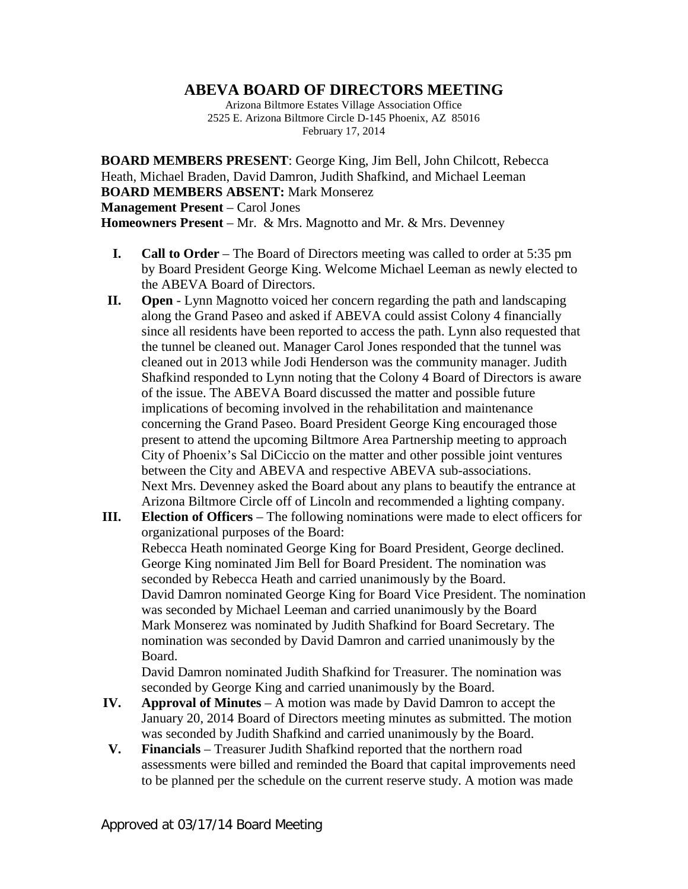## **ABEVA BOARD OF DIRECTORS MEETING**

Arizona Biltmore Estates Village Association Office 2525 E. Arizona Biltmore Circle D-145 Phoenix, AZ 85016 February 17, 2014

**BOARD MEMBERS PRESENT**: George King, Jim Bell, John Chilcott, Rebecca Heath, Michael Braden, David Damron, Judith Shafkind, and Michael Leeman **BOARD MEMBERS ABSENT:** Mark Monserez **Management Present** – Carol Jones **Homeowners Present** – Mr. & Mrs. Magnotto and Mr. & Mrs. Devenney

- **I. Call to Order** The Board of Directors meeting was called to order at 5:35 pm by Board President George King. Welcome Michael Leeman as newly elected to the ABEVA Board of Directors.
- **II. Open** Lynn Magnotto voiced her concern regarding the path and landscaping along the Grand Paseo and asked if ABEVA could assist Colony 4 financially since all residents have been reported to access the path. Lynn also requested that the tunnel be cleaned out. Manager Carol Jones responded that the tunnel was cleaned out in 2013 while Jodi Henderson was the community manager. Judith Shafkind responded to Lynn noting that the Colony 4 Board of Directors is aware of the issue. The ABEVA Board discussed the matter and possible future implications of becoming involved in the rehabilitation and maintenance concerning the Grand Paseo. Board President George King encouraged those present to attend the upcoming Biltmore Area Partnership meeting to approach City of Phoenix's Sal DiCiccio on the matter and other possible joint ventures between the City and ABEVA and respective ABEVA sub-associations. Next Mrs. Devenney asked the Board about any plans to beautify the entrance at Arizona Biltmore Circle off of Lincoln and recommended a lighting company.
- **III. Election of Officers** The following nominations were made to elect officers for organizational purposes of the Board: Rebecca Heath nominated George King for Board President, George declined. George King nominated Jim Bell for Board President. The nomination was seconded by Rebecca Heath and carried unanimously by the Board. David Damron nominated George King for Board Vice President. The nomination was seconded by Michael Leeman and carried unanimously by the Board Mark Monserez was nominated by Judith Shafkind for Board Secretary. The nomination was seconded by David Damron and carried unanimously by the Board.

David Damron nominated Judith Shafkind for Treasurer. The nomination was seconded by George King and carried unanimously by the Board.

- **IV. Approval of Minutes** A motion was made by David Damron to accept the January 20, 2014 Board of Directors meeting minutes as submitted. The motion was seconded by Judith Shafkind and carried unanimously by the Board.
- **V. Financials** Treasurer Judith Shafkind reported that the northern road assessments were billed and reminded the Board that capital improvements need to be planned per the schedule on the current reserve study. A motion was made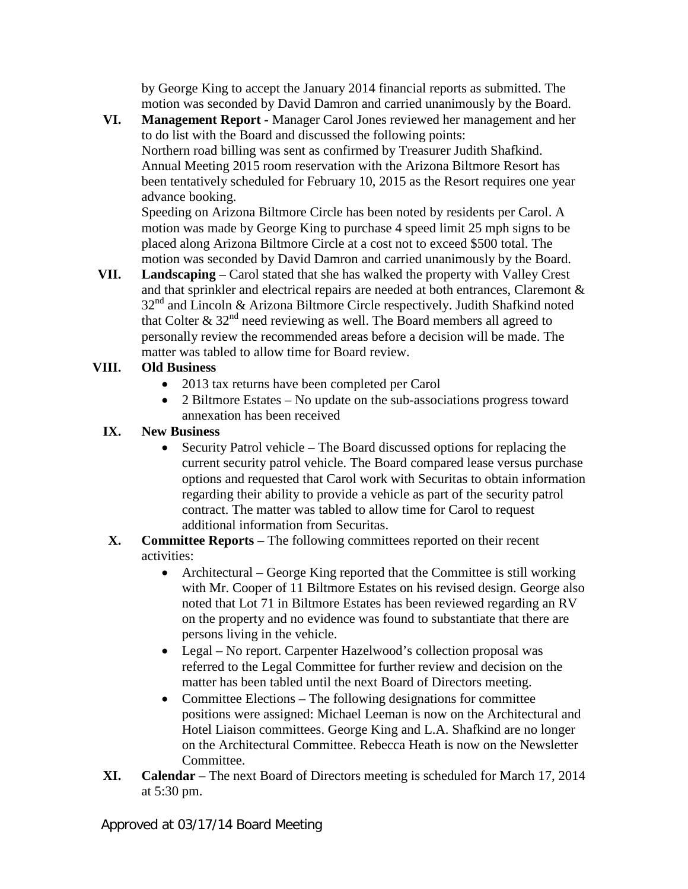by George King to accept the January 2014 financial reports as submitted. The motion was seconded by David Damron and carried unanimously by the Board.

**VI. Management Report -** Manager Carol Jones reviewed her management and her to do list with the Board and discussed the following points: Northern road billing was sent as confirmed by Treasurer Judith Shafkind. Annual Meeting 2015 room reservation with the Arizona Biltmore Resort has been tentatively scheduled for February 10, 2015 as the Resort requires one year advance booking.

Speeding on Arizona Biltmore Circle has been noted by residents per Carol. A motion was made by George King to purchase 4 speed limit 25 mph signs to be placed along Arizona Biltmore Circle at a cost not to exceed \$500 total. The motion was seconded by David Damron and carried unanimously by the Board.

**VII. Landscaping** – Carol stated that she has walked the property with Valley Crest and that sprinkler and electrical repairs are needed at both entrances, Claremont &  $32<sup>nd</sup>$  and Lincoln & Arizona Biltmore Circle respectively. Judith Shafkind noted that Colter  $\&$  32<sup>nd</sup> need reviewing as well. The Board members all agreed to personally review the recommended areas before a decision will be made. The matter was tabled to allow time for Board review.

## **VIII. Old Business**

- 2013 tax returns have been completed per Carol
- 2 Biltmore Estates No update on the sub-associations progress toward annexation has been received

## **IX. New Business**

- Security Patrol vehicle The Board discussed options for replacing the current security patrol vehicle. The Board compared lease versus purchase options and requested that Carol work with Securitas to obtain information regarding their ability to provide a vehicle as part of the security patrol contract. The matter was tabled to allow time for Carol to request additional information from Securitas.
- **X. Committee Reports** The following committees reported on their recent activities:
	- Architectural George King reported that the Committee is still working with Mr. Cooper of 11 Biltmore Estates on his revised design. George also noted that Lot 71 in Biltmore Estates has been reviewed regarding an RV on the property and no evidence was found to substantiate that there are persons living in the vehicle.
	- Legal No report. Carpenter Hazelwood's collection proposal was referred to the Legal Committee for further review and decision on the matter has been tabled until the next Board of Directors meeting.
	- Committee Elections The following designations for committee positions were assigned: Michael Leeman is now on the Architectural and Hotel Liaison committees. George King and L.A. Shafkind are no longer on the Architectural Committee. Rebecca Heath is now on the Newsletter Committee.
- **XI. Calendar** The next Board of Directors meeting is scheduled for March 17, 2014 at 5:30 pm.